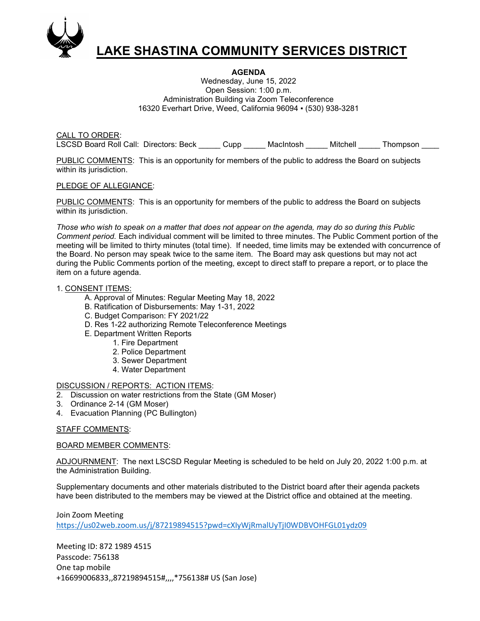

# LAKE SHASTINA COMMUNITY SERVICES DISTRICT

### AGENDA

Wednesday, June 15, 2022 Open Session: 1:00 p.m. Administration Building via Zoom Teleconference 16320 Everhart Drive, Weed, California 96094 ▪ (530) 938-3281

CALL TO ORDER: LSCSD Board Roll Call: Directors: Beck \_\_\_\_\_ Cupp \_\_\_\_\_ MacIntosh \_\_\_\_\_ Mitchell \_\_\_\_\_ Thompson \_\_\_\_

PUBLIC COMMENTS: This is an opportunity for members of the public to address the Board on subjects within its jurisdiction.

#### PLEDGE OF ALLEGIANCE:

PUBLIC COMMENTS: This is an opportunity for members of the public to address the Board on subjects within its jurisdiction.

Those who wish to speak on a matter that does not appear on the agenda, may do so during this Public Comment period. Each individual comment will be limited to three minutes. The Public Comment portion of the meeting will be limited to thirty minutes (total time). If needed, time limits may be extended with concurrence of the Board. No person may speak twice to the same item. The Board may ask questions but may not act during the Public Comments portion of the meeting, except to direct staff to prepare a report, or to place the item on a future agenda.

#### 1. CONSENT ITEMS:

- A. Approval of Minutes: Regular Meeting May 18, 2022
- B. Ratification of Disbursements: May 1-31, 2022
- C. Budget Comparison: FY 2021/22
- D. Res 1-22 authorizing Remote Teleconference Meetings
- E. Department Written Reports
	- 1. Fire Department
	- 2. Police Department
	- 3. Sewer Department
	- 4. Water Department

#### DISCUSSION / REPORTS: ACTION ITEMS:

- 2. Discussion on water restrictions from the State (GM Moser)
- 3. Ordinance 2-14 (GM Moser)
- 4. Evacuation Planning (PC Bullington)

## STAFF COMMENTS:

#### BOARD MEMBER COMMENTS:

ADJOURNMENT: The next LSCSD Regular Meeting is scheduled to be held on July 20, 2022 1:00 p.m. at the Administration Building.

Supplementary documents and other materials distributed to the District board after their agenda packets have been distributed to the members may be viewed at the District office and obtained at the meeting.

Join Zoom Meeting https://us02web.zoom.us/j/87219894515?pwd=cXIyWjRmalUyTjI0WDBVOHFGL01ydz09

Meeting ID: 872 1989 4515 Passcode: 756138 One tap mobile +16699006833,,87219894515#,,,,\*756138# US (San Jose)